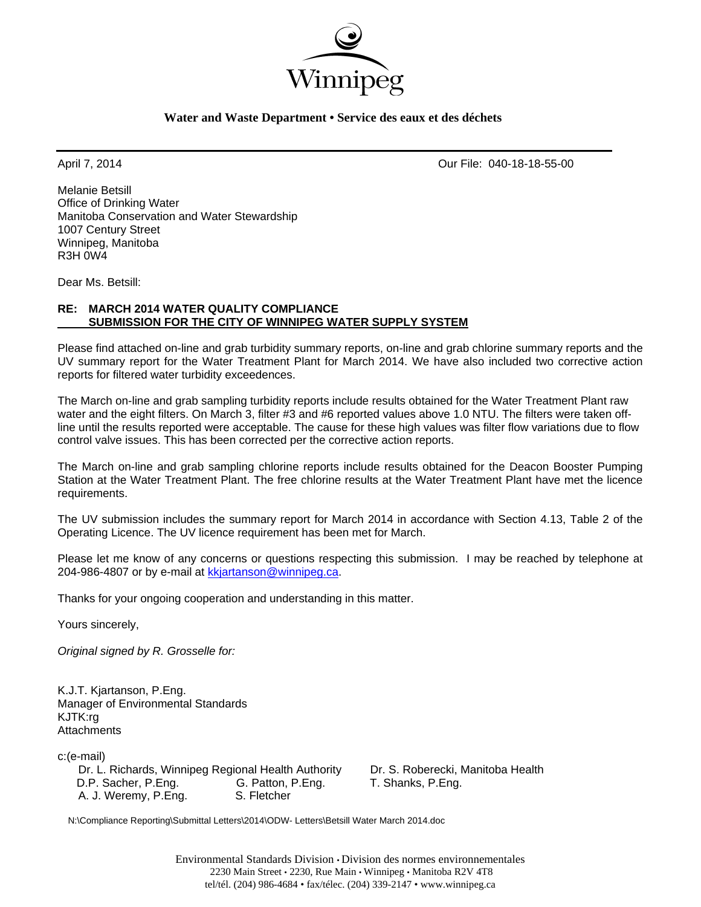

## **Water and Waste Department • Service des eaux et des déchets**

April 7, 2014 Our File: 040-18-18-55-00

Melanie Betsill Office of Drinking Water Manitoba Conservation and Water Stewardship 1007 Century Street Winnipeg, Manitoba R3H 0W4

Dear Ms. Betsill:

# **RE: MARCH 2014 WATER QUALITY COMPLIANCE SUBMISSION FOR THE CITY OF WINNIPEG WATER SUPPLY SYSTEM**

Please find attached on-line and grab turbidity summary reports, on-line and grab chlorine summary reports and the UV summary report for the Water Treatment Plant for March 2014. We have also included two corrective action reports for filtered water turbidity exceedences.

The March on-line and grab sampling turbidity reports include results obtained for the Water Treatment Plant raw water and the eight filters. On March 3, filter #3 and #6 reported values above 1.0 NTU. The filters were taken offline until the results reported were acceptable. The cause for these high values was filter flow variations due to flow control valve issues. This has been corrected per the corrective action reports.

The March on-line and grab sampling chlorine reports include results obtained for the Deacon Booster Pumping Station at the Water Treatment Plant. The free chlorine results at the Water Treatment Plant have met the licence requirements.

The UV submission includes the summary report for March 2014 in accordance with Section 4.13, Table 2 of the Operating Licence. The UV licence requirement has been met for March.

Please let me know of any concerns or questions respecting this submission. I may be reached by telephone at 204-986-4807 or by e-mail at kkjartanson@winnipeg.ca.

Thanks for your ongoing cooperation and understanding in this matter.

Yours sincerely,

*Original signed by R. Grosselle for:* 

K.J.T. Kjartanson, P.Eng. Manager of Environmental Standards KJTK:rg **Attachments** 

c:(e-mail)

 Dr. L. Richards, Winnipeg Regional Health Authority Dr. S. Roberecki, Manitoba Health D.P. Sacher, P.Eng. G. Patton, P.Eng. T. Shanks, P.Eng. A. J. Weremy, P.Eng. S. Fletcher

N:\Compliance Reporting\Submittal Letters\2014\ODW- Letters\Betsill Water March 2014.doc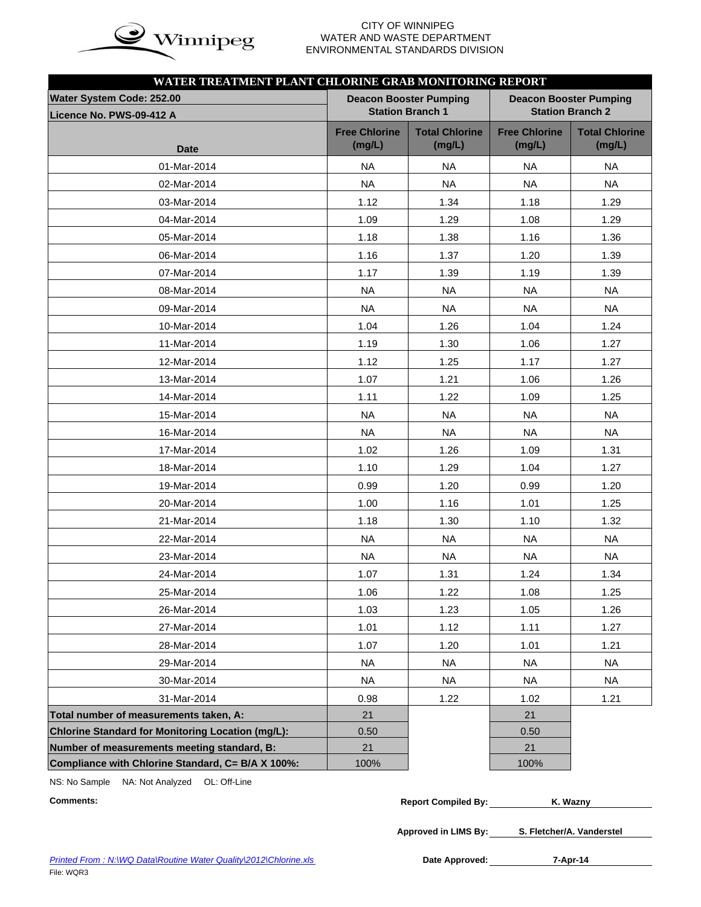

### **CITY OF WINNIPEG**  $\mathbf{in}$   $\mathbf{\alpha}$  WATER AND WASTE DEPARTMENT ENVIRONMENTAL STANDARDS DIVISION

| WATER TREATMENT PLANT CHLORINE GRAB MONITORING REPORT |                                                                                           |                                 |                                |                                 |  |  |  |  |
|-------------------------------------------------------|-------------------------------------------------------------------------------------------|---------------------------------|--------------------------------|---------------------------------|--|--|--|--|
| Water System Code: 252.00                             | <b>Deacon Booster Pumping</b><br><b>Deacon Booster Pumping</b><br><b>Station Branch 2</b> |                                 |                                |                                 |  |  |  |  |
| Licence No. PWS-09-412 A                              |                                                                                           | <b>Station Branch 1</b>         |                                |                                 |  |  |  |  |
| <b>Date</b>                                           | <b>Free Chlorine</b><br>(mg/L)                                                            | <b>Total Chlorine</b><br>(mg/L) | <b>Free Chlorine</b><br>(mg/L) | <b>Total Chlorine</b><br>(mg/L) |  |  |  |  |
| 01-Mar-2014                                           | <b>NA</b>                                                                                 | <b>NA</b>                       | <b>NA</b>                      | NA.                             |  |  |  |  |
| 02-Mar-2014                                           | <b>NA</b>                                                                                 | <b>NA</b>                       | <b>NA</b>                      | <b>NA</b>                       |  |  |  |  |
| 03-Mar-2014                                           | 1.12                                                                                      | 1.34                            | 1.18                           | 1.29                            |  |  |  |  |
| 04-Mar-2014                                           | 1.09                                                                                      | 1.29                            | 1.08                           | 1.29                            |  |  |  |  |
| 05-Mar-2014                                           | 1.18                                                                                      | 1.38                            | 1.16                           | 1.36                            |  |  |  |  |
| 06-Mar-2014                                           | 1.16                                                                                      | 1.37                            | 1.20                           | 1.39                            |  |  |  |  |
| 07-Mar-2014                                           | 1.17                                                                                      | 1.39                            | 1.19                           | 1.39                            |  |  |  |  |
| 08-Mar-2014                                           | <b>NA</b>                                                                                 | <b>NA</b>                       | <b>NA</b>                      | <b>NA</b>                       |  |  |  |  |
| 09-Mar-2014                                           | <b>NA</b>                                                                                 | <b>NA</b>                       | <b>NA</b>                      | <b>NA</b>                       |  |  |  |  |
| 10-Mar-2014                                           | 1.04                                                                                      | 1.26                            | 1.04                           | 1.24                            |  |  |  |  |
| 11-Mar-2014                                           | 1.19                                                                                      | 1.30                            | 1.06                           | 1.27                            |  |  |  |  |
| 12-Mar-2014                                           | 1.12                                                                                      | 1.25                            | 1.17                           | 1.27                            |  |  |  |  |
| 13-Mar-2014                                           | 1.07                                                                                      | 1.21                            | 1.06                           | 1.26                            |  |  |  |  |
| 14-Mar-2014                                           | 1.11                                                                                      | 1.22                            | 1.09                           | 1.25                            |  |  |  |  |
| 15-Mar-2014                                           | <b>NA</b>                                                                                 | <b>NA</b>                       | <b>NA</b>                      | <b>NA</b>                       |  |  |  |  |
| 16-Mar-2014                                           | <b>NA</b>                                                                                 | <b>NA</b>                       | <b>NA</b>                      | <b>NA</b>                       |  |  |  |  |
| 17-Mar-2014                                           | 1.02                                                                                      | 1.26                            | 1.09                           | 1.31                            |  |  |  |  |
| 18-Mar-2014                                           | 1.10                                                                                      | 1.29                            | 1.04                           | 1.27                            |  |  |  |  |
| 19-Mar-2014                                           | 0.99                                                                                      | 1.20                            | 0.99                           | 1.20                            |  |  |  |  |
| 20-Mar-2014                                           | 1.00                                                                                      | 1.16                            | 1.01                           | 1.25                            |  |  |  |  |
| 21-Mar-2014                                           | 1.18                                                                                      | 1.30                            | 1.10                           | 1.32                            |  |  |  |  |
| 22-Mar-2014                                           | <b>NA</b>                                                                                 | <b>NA</b>                       | <b>NA</b>                      | <b>NA</b>                       |  |  |  |  |
| 23-Mar-2014                                           | <b>NA</b>                                                                                 | <b>NA</b>                       | <b>NA</b>                      | <b>NA</b>                       |  |  |  |  |
| 24-Mar-2014                                           | 1.07                                                                                      | 1.31                            | 1.24                           | 1.34                            |  |  |  |  |
| 25-Mar-2014                                           | 1.06                                                                                      | 1.22                            | 1.08                           | 1.25                            |  |  |  |  |
| 26-Mar-2014                                           | 1.03                                                                                      | 1.23                            | 1.05                           | 1.26                            |  |  |  |  |
| 27-Mar-2014                                           | 1.01                                                                                      | 1.12                            | 1.11                           | 1.27                            |  |  |  |  |
| 28-Mar-2014                                           | 1.07                                                                                      | 1.20                            | 1.01                           | 1.21                            |  |  |  |  |
| 29-Mar-2014                                           | <b>NA</b>                                                                                 | <b>NA</b>                       | <b>NA</b>                      | <b>NA</b>                       |  |  |  |  |
| 30-Mar-2014                                           | <b>NA</b>                                                                                 | <b>NA</b>                       | <b>NA</b>                      | NA                              |  |  |  |  |
| 31-Mar-2014                                           | 0.98                                                                                      | 1.22                            | 1.02                           | 1.21                            |  |  |  |  |
| Total number of measurements taken, A:                | 21                                                                                        |                                 | 21                             |                                 |  |  |  |  |
| Chlorine Standard for Monitoring Location (mg/L):     | 0.50                                                                                      |                                 | 0.50                           |                                 |  |  |  |  |
| Number of measurements meeting standard, B:           | 21                                                                                        |                                 | 21                             |                                 |  |  |  |  |
| Compliance with Chlorine Standard, C= B/A X 100%:     | 100%                                                                                      |                                 | 100%                           |                                 |  |  |  |  |

NS: No Sample NA: Not Analyzed OL: Off-Line

 $Comments:$ 

| <b>Report Compiled By:</b> | K. Wazny |  |
|----------------------------|----------|--|
|                            |          |  |

**Approved in LIMS By: S. Fletcher/A. Vanderstel**

Date Approved: 7-Apr-14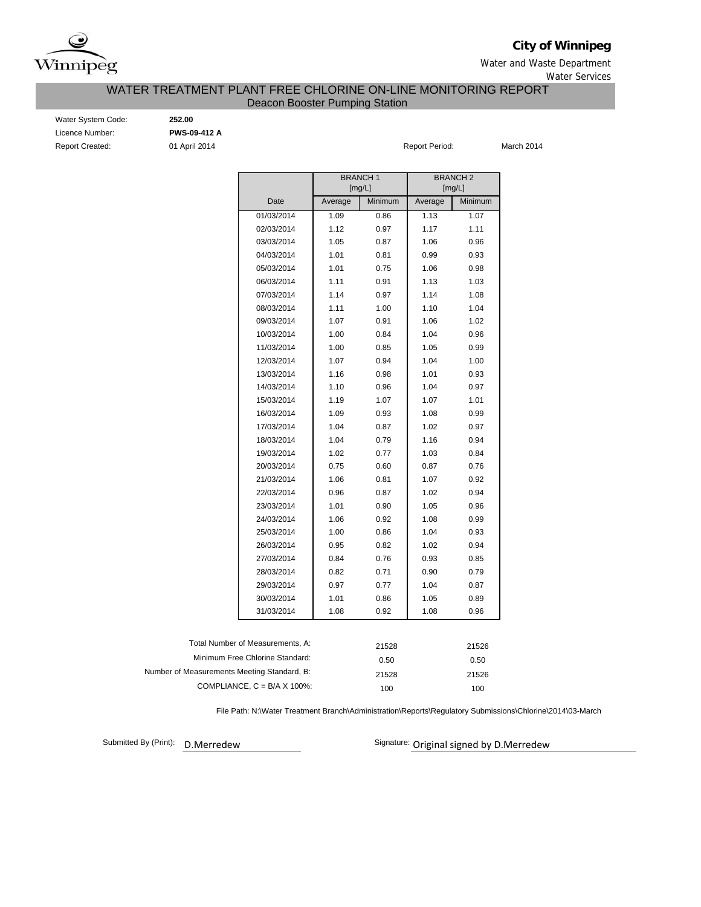

**City of Winnipeg**

Water and Waste Department Water Services

## WATER TREATMENT PLANT FREE CHLORINE ON-LINE MONITORING REPORT Deacon Booster Pumping Station

Water System Code: **252.00** Licence Number: **PWS-09-412 A** Report Created: 01 April 2014 Report Period: Report Period:

March 2014

|                                             |                                      |         | <b>BRANCH1</b> | <b>BRANCH2</b> |         |  |  |
|---------------------------------------------|--------------------------------------|---------|----------------|----------------|---------|--|--|
|                                             |                                      |         | [mg/L]         |                | [mg/L]  |  |  |
|                                             | Date                                 | Average | Minimum        | Average        | Minimum |  |  |
|                                             | 01/03/2014                           | 1.09    | 0.86           | 1.13           | 1.07    |  |  |
|                                             | 02/03/2014                           | 1.12    | 0.97           | 1.17           | 1.11    |  |  |
|                                             | 03/03/2014                           | 1.05    | 0.87           | 1.06           | 0.96    |  |  |
|                                             | 04/03/2014                           | 1.01    | 0.81           | 0.99           | 0.93    |  |  |
|                                             | 05/03/2014                           | 1.01    | 0.75           | 1.06           | 0.98    |  |  |
|                                             | 06/03/2014                           | 1.11    | 0.91           | 1.13           | 1.03    |  |  |
|                                             | 07/03/2014                           | 1.14    | 0.97           | 1.14           | 1.08    |  |  |
|                                             | 08/03/2014                           | 1.11    | 1.00           | 1.10           | 1.04    |  |  |
|                                             | 09/03/2014                           | 1.07    | 0.91           | 1.06           | 1.02    |  |  |
|                                             | 10/03/2014                           | 1.00    | 0.84           | 1.04           | 0.96    |  |  |
|                                             | 11/03/2014                           | 1.00    | 0.85           | 1.05           | 0.99    |  |  |
|                                             | 12/03/2014                           | 1.07    | 0.94           | 1.04           | 1.00    |  |  |
|                                             | 13/03/2014                           | 1.16    | 0.98           | 1.01           | 0.93    |  |  |
|                                             | 14/03/2014                           | 1.10    | 0.96           | 1.04           | 0.97    |  |  |
|                                             | 15/03/2014                           | 1.19    | 1.07           | 1.07           | 1.01    |  |  |
|                                             | 16/03/2014                           | 1.09    | 0.93           | 1.08           | 0.99    |  |  |
|                                             | 17/03/2014                           | 1.04    | 0.87           | 1.02           | 0.97    |  |  |
|                                             | 18/03/2014                           | 1.04    | 0.79           | 1.16           | 0.94    |  |  |
|                                             | 19/03/2014                           | 1.02    | 0.77           | 1.03           | 0.84    |  |  |
|                                             | 20/03/2014                           | 0.75    | 0.60           | 0.87           | 0.76    |  |  |
|                                             | 21/03/2014                           | 1.06    | 0.81           | 1.07           | 0.92    |  |  |
|                                             | 22/03/2014                           | 0.96    | 0.87           | 1.02           | 0.94    |  |  |
|                                             | 23/03/2014                           | 1.01    | 0.90           | 1.05           | 0.96    |  |  |
|                                             | 24/03/2014                           | 1.06    | 0.92           | 1.08           | 0.99    |  |  |
|                                             | 25/03/2014                           | 1.00    | 0.86           | 1.04           | 0.93    |  |  |
|                                             | 26/03/2014                           | 0.95    | 0.82           | 1.02           | 0.94    |  |  |
|                                             | 27/03/2014                           | 0.84    | 0.76           | 0.93           | 0.85    |  |  |
|                                             | 28/03/2014                           | 0.82    | 0.71           | 0.90           | 0.79    |  |  |
|                                             | 29/03/2014                           | 0.97    | 0.77           | 1.04           | 0.87    |  |  |
|                                             | 30/03/2014                           | 1.01    | 0.86           | 1.05           | 0.89    |  |  |
|                                             | 31/03/2014                           | 1.08    | 0.92           | 1.08           | 0.96    |  |  |
|                                             |                                      |         |                |                |         |  |  |
|                                             | Total Number of Measurements, A:     |         | 21528          |                | 21526   |  |  |
|                                             | Minimum Free Chlorine Standard:      |         | 0.50           |                | 0.50    |  |  |
| Number of Measurements Meeting Standard, B: |                                      |         | 21528          |                | 21526   |  |  |
|                                             | COMPLIANCE, $C = B/A \times 100\%$ : |         | 100            |                | 100     |  |  |

File Path: N:\Water Treatment Branch\Administration\Reports\Regulatory Submissions\Chlorine\2014\03-March

Submitted By (Print): D.Merredew

Signature: Original signed by D.Merredew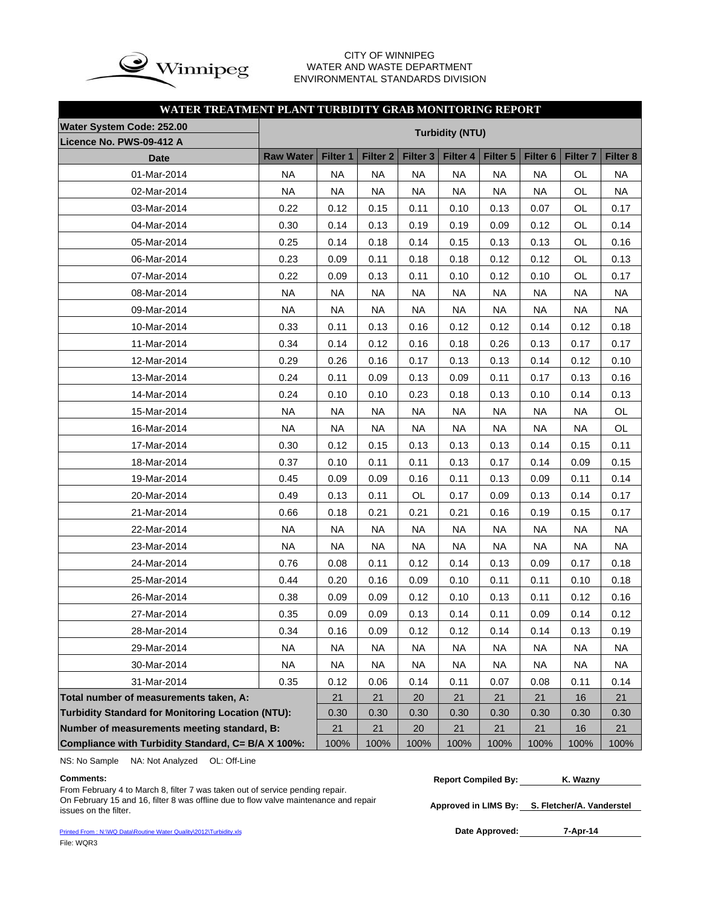

### CITY OF WINNIPEG WATER AND WASTE DEPARTMENT ENVIRONMENTAL STANDARDS DIVISION

## **WATER TREATMENT PLANT TURBIDITY GRAB MONITORING REPORT**

| Water System Code: 252.00                                |                  | <b>Turbidity (NTU)</b> |                        |                     |                        |              |                     |                 |           |  |  |  |
|----------------------------------------------------------|------------------|------------------------|------------------------|---------------------|------------------------|--------------|---------------------|-----------------|-----------|--|--|--|
| Licence No. PWS-09-412 A                                 |                  |                        |                        |                     |                        |              |                     |                 |           |  |  |  |
| <b>Date</b>                                              | <b>Raw Water</b> | Filter 1               | <b>Filter 2</b>        | Filter <sub>3</sub> | Filter 4               | Filter 5     | Filter <sub>6</sub> | <b>Filter 7</b> | Filter 8  |  |  |  |
| 01-Mar-2014                                              | <b>NA</b>        | <b>NA</b>              | <b>NA</b>              | <b>NA</b>           | <b>NA</b>              | <b>NA</b>    | <b>NA</b>           | OL              | <b>NA</b> |  |  |  |
| 02-Mar-2014                                              | <b>NA</b>        | <b>NA</b>              | <b>NA</b>              | <b>NA</b>           | <b>NA</b>              | <b>NA</b>    | <b>NA</b>           | OL              |           |  |  |  |
| 03-Mar-2014                                              | 0.22             | 0.12                   | 0.15                   | 0.11                | 0.10                   | 0.13         | 0.07                | OL              | 0.17      |  |  |  |
| 04-Mar-2014                                              | 0.30             | 0.14                   | 0.13                   | 0.19                | 0.19                   | 0.09         | 0.12                | OL              | 0.14      |  |  |  |
| 05-Mar-2014                                              | 0.25             | 0.14                   | 0.18                   | 0.14                | 0.15                   | 0.13         | 0.13                | 0.16            |           |  |  |  |
| 06-Mar-2014                                              | 0.23             | 0.09                   | 0.11                   | 0.18                | 0.18                   | 0.12         | 0.12                | OL              | 0.13      |  |  |  |
| 07-Mar-2014                                              | 0.22             | 0.09                   | 0.13                   | 0.11                | 0.10                   | 0.12<br>0.10 |                     | OL              | 0.17      |  |  |  |
| 08-Mar-2014                                              | <b>NA</b>        | <b>NA</b>              | <b>NA</b>              | <b>NA</b>           | <b>NA</b>              | <b>NA</b>    | <b>NA</b>           |                 | <b>NA</b> |  |  |  |
| 09-Mar-2014                                              | <b>NA</b>        | <b>NA</b>              | <b>NA</b>              | <b>NA</b>           | <b>NA</b>              | <b>NA</b>    | <b>NA</b>           | <b>NA</b>       | <b>NA</b> |  |  |  |
| 10-Mar-2014                                              | 0.33             | 0.11                   | 0.13                   | 0.16                | 0.12                   | 0.12         | 0.14                | 0.12            | 0.18      |  |  |  |
| 11-Mar-2014                                              | 0.34             | 0.14                   | 0.12                   | 0.16                | 0.18                   | 0.26         | 0.13                | 0.17            | 0.17      |  |  |  |
| 12-Mar-2014                                              | 0.29             | 0.26                   | 0.16                   | 0.17                | 0.13                   | 0.13         | 0.14                | 0.12            | 0.10      |  |  |  |
| 13-Mar-2014                                              | 0.24             | 0.11                   | 0.09                   | 0.13                | 0.09                   | 0.11         | 0.17                | 0.13            | 0.16      |  |  |  |
| 14-Mar-2014                                              | 0.24             | 0.10                   | 0.10                   | 0.23                | 0.18                   | 0.13         | 0.10                | 0.14            | 0.13      |  |  |  |
| 15-Mar-2014                                              | <b>NA</b>        | <b>NA</b>              | <b>NA</b><br><b>NA</b> |                     | <b>NA</b><br><b>NA</b> |              | <b>NA</b>           | <b>NA</b>       | OL        |  |  |  |
| 16-Mar-2014                                              | <b>NA</b>        | <b>NA</b>              | <b>NA</b>              | <b>NA</b>           | <b>NA</b>              | <b>NA</b>    | <b>NA</b>           | <b>NA</b>       | OL        |  |  |  |
| 17-Mar-2014                                              | 0.30             | 0.12                   | 0.15                   | 0.13                | 0.13                   | 0.13         | 0.14                | 0.15            | 0.11      |  |  |  |
| 18-Mar-2014                                              | 0.37             | 0.10                   | 0.11                   | 0.11<br>0.13        |                        | 0.17         | 0.14                | 0.09            | 0.15      |  |  |  |
| 19-Mar-2014                                              | 0.45             | 0.09                   | 0.09                   | 0.16<br>0.11        |                        | 0.13         | 0.09                | 0.11            | 0.14      |  |  |  |
| 20-Mar-2014                                              | 0.49             | 0.13                   | 0.11                   | OL                  | 0.17                   | 0.09         | 0.13                | 0.14            | 0.17      |  |  |  |
| 21-Mar-2014                                              | 0.66             | 0.18                   | 0.21                   | 0.21                | 0.21                   | 0.16         | 0.19                | 0.15            | 0.17      |  |  |  |
| 22-Mar-2014                                              | <b>NA</b>        | <b>NA</b>              | <b>NA</b>              | <b>NA</b>           | <b>NA</b>              | <b>NA</b>    | <b>NA</b>           | <b>NA</b>       | <b>NA</b> |  |  |  |
| 23-Mar-2014                                              | <b>NA</b>        | <b>NA</b>              | <b>NA</b>              | <b>NA</b>           | <b>NA</b>              | <b>NA</b>    | <b>NA</b>           | <b>NA</b>       | <b>NA</b> |  |  |  |
| 24-Mar-2014                                              | 0.76             | 0.08                   | 0.11                   | 0.12                | 0.14                   | 0.13         | 0.09                | 0.17            | 0.18      |  |  |  |
| 25-Mar-2014                                              | 0.44             | 0.20                   | 0.16                   | 0.09                | 0.10                   | 0.11         | 0.11                | 0.10            | 0.18      |  |  |  |
| 26-Mar-2014                                              | 0.38             | 0.09                   | 0.09                   | 0.12                | 0.10                   | 0.13         | 0.11                | 0.12            | 0.16      |  |  |  |
| 27-Mar-2014                                              | 0.35             | 0.09                   | 0.09                   | 0.13                | 0.14<br>0.11           |              | 0.09                | 0.14            | 0.12      |  |  |  |
| 28-Mar-2014                                              | 0.34             | 0.16                   | 0.09                   | 0.12                | 0.12                   | 0.14<br>0.14 |                     | 0.13            | 0.19      |  |  |  |
| 29-Mar-2014                                              | <b>NA</b>        | NA                     | NA                     | NA.                 | NA.                    | NA           | NA                  | NA.             | NA        |  |  |  |
| 30-Mar-2014                                              | NA               | <b>NA</b>              | <b>NA</b>              | <b>NA</b>           | NA                     | NA.          | NA                  | NA              | <b>NA</b> |  |  |  |
| 31-Mar-2014                                              | 0.35             | 0.12                   | 0.06                   | 0.14                | 0.11                   | 0.07         | 0.08                | 0.11            | 0.14      |  |  |  |
| Total number of measurements taken, A:                   |                  | 21                     | 21                     | 20                  | 21                     | 21           | 21                  | 16              | 21        |  |  |  |
| <b>Turbidity Standard for Monitoring Location (NTU):</b> | 0.30             | 0.30                   | 0.30                   | 0.30                | 0.30                   | 0.30         | 0.30                | 0.30            |           |  |  |  |
| Number of measurements meeting standard, B:              | 21               | 21                     | $20\,$                 | 21                  | 21                     | 21           | 16                  | 21              |           |  |  |  |
| Compliance with Turbidity Standard, C= B/A X 100%:       | 100%             | 100%                   | 100%                   | 100%                | 100%                   | 100%         | 100%                | 100%            |           |  |  |  |

NS: No Sample NA: Not Analyzed OL: Off-Line

From February 4 to March 8, filter 7 was taken out of service pending repair. On February 15 and 16, filter 8 was offline due to flow valve maintenance and repair issues on the filter.

Printed From : N:\WQ Data\Routine Water Quality\2012\Turbidity.xls File: WQR3

**Approved in LIMS By: S. Fletcher/A. Vanderstel**

Date Approved: 7-Apr-14

**Comments: Report Compiled By: K. Wazny**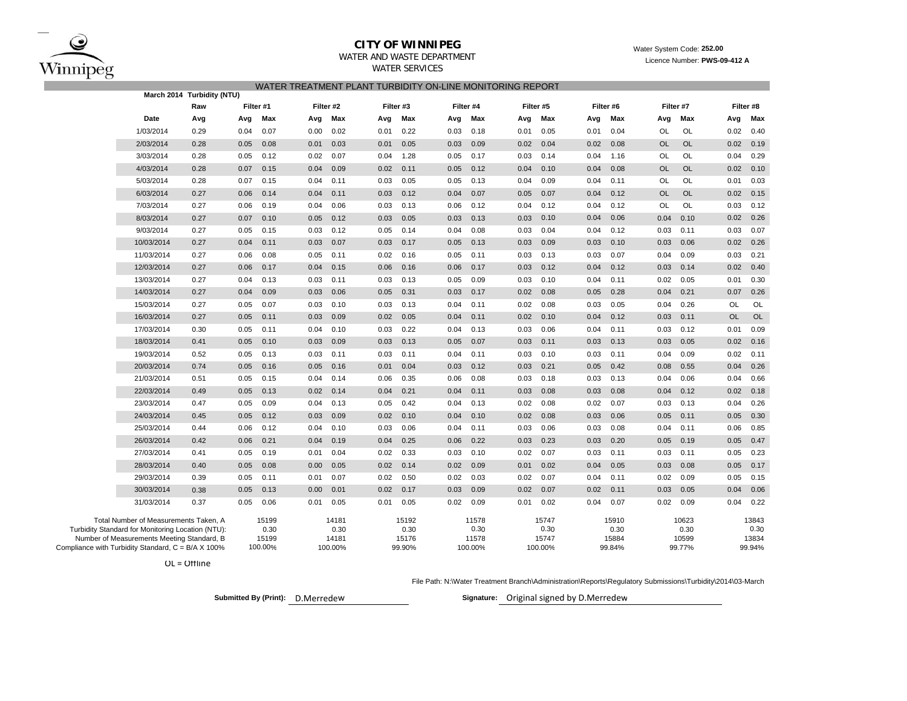

### **CITY OF WINNIPEG**WATER AND WASTE DEPARTMENT

## WATER TREATMENT PLANT TURBIDITY ON-LINE MONITORING REPORT WATER SERVICES

|                                                                                                                                          | March 2014 Turbidity (NTU) |      |                        |      |                        |      |                        |      |                        |      |                        |      |                        |           |                        |           |                        |
|------------------------------------------------------------------------------------------------------------------------------------------|----------------------------|------|------------------------|------|------------------------|------|------------------------|------|------------------------|------|------------------------|------|------------------------|-----------|------------------------|-----------|------------------------|
|                                                                                                                                          | Raw                        |      | Filter #1<br>Filter #2 |      | Filter #3<br>Filter #4 |      |                        |      | Filter #6<br>Filter #5 |      |                        |      | Filter #7              |           |                        |           |                        |
| Date                                                                                                                                     | Avg                        | Avg  | Max                    | Avg  | Max                    | Avg  | Max                    | Avg  | Max                    | Avg  | Max                    | Avg  | Max                    | Avg       | Max                    | Avg       | Max                    |
| 1/03/2014                                                                                                                                | 0.29                       | 0.04 | 0.07                   | 0.00 | 0.02                   | 0.01 | 0.22                   | 0.03 | 0.18                   | 0.01 | 0.05                   | 0.01 | 0.04                   | OL        | OL                     | 0.02      | 0.40                   |
| 2/03/2014                                                                                                                                | 0.28                       | 0.05 | 0.08                   | 0.01 | 0.03                   | 0.01 | 0.05                   | 0.03 | 0.09                   | 0.02 | 0.04                   | 0.02 | 0.08                   | <b>OL</b> | <b>OL</b>              | 0.02      | 0.19                   |
| 3/03/2014                                                                                                                                | 0.28                       | 0.05 | 0.12                   | 0.02 | 0.07                   | 0.04 | 1.28                   | 0.05 | 0.17                   | 0.03 | 0.14                   | 0.04 | 1.16                   | OL        | OL                     | 0.04      | 0.29                   |
| 4/03/2014                                                                                                                                | 0.28                       | 0.07 | 0.15                   | 0.04 | 0.09                   | 0.02 | 0.11                   | 0.05 | 0.12                   | 0.04 | 0.10                   | 0.04 | 0.08                   | <b>OL</b> | <b>OL</b>              | 0.02      | 0.10                   |
| 5/03/2014                                                                                                                                | 0.28                       | 0.07 | 0.15                   | 0.04 | 0.11                   | 0.03 | 0.05                   | 0.05 | 0.13                   | 0.04 | 0.09                   | 0.04 | 0.11                   | OL        | OL                     | 0.01      | 0.03                   |
| 6/03/2014                                                                                                                                | 0.27                       | 0.06 | 0.14                   | 0.04 | 0.11                   | 0.03 | 0.12                   | 0.04 | 0.07                   | 0.05 | 0.07                   | 0.04 | 0.12                   | <b>OL</b> | <b>OL</b>              | 0.02      | 0.15                   |
| 7/03/2014                                                                                                                                | 0.27                       | 0.06 | 0.19                   | 0.04 | 0.06                   | 0.03 | 0.13                   | 0.06 | 0.12                   | 0.04 | 0.12                   | 0.04 | 0.12                   | OL        | OL                     | 0.03      | 0.12                   |
| 8/03/2014                                                                                                                                | 0.27                       | 0.07 | 0.10                   | 0.05 | 0.12                   | 0.03 | 0.05                   | 0.03 | 0.13                   | 0.03 | 0.10                   | 0.04 | 0.06                   | 0.04      | 0.10                   | 0.02      | 0.26                   |
| 9/03/2014                                                                                                                                | 0.27                       | 0.05 | 0.15                   | 0.03 | 0.12                   | 0.05 | 0.14                   | 0.04 | 0.08                   | 0.03 | 0.04                   | 0.04 | 0.12                   | 0.03      | 0.11                   | 0.03      | 0.07                   |
| 10/03/2014                                                                                                                               | 0.27                       | 0.04 | 0.11                   | 0.03 | 0.07                   | 0.03 | 0.17                   | 0.05 | 0.13                   | 0.03 | 0.09                   | 0.03 | 0.10                   | 0.03      | 0.06                   | 0.02      | 0.26                   |
| 11/03/2014                                                                                                                               | 0.27                       | 0.06 | 0.08                   | 0.05 | 0.11                   | 0.02 | 0.16                   | 0.05 | 0.11                   | 0.03 | 0.13                   | 0.03 | 0.07                   | 0.04      | 0.09                   | 0.03      | 0.21                   |
| 12/03/2014                                                                                                                               | 0.27                       | 0.06 | 0.17                   | 0.04 | 0.15                   | 0.06 | 0.16                   | 0.06 | 0.17                   | 0.03 | 0.12                   | 0.04 | 0.12                   | 0.03      | 0.14                   | 0.02      | 0.40                   |
| 13/03/2014                                                                                                                               | 0.27                       | 0.04 | 0.13                   | 0.03 | 0.11                   | 0.03 | 0.13                   | 0.05 | 0.09                   | 0.03 | 0.10                   | 0.04 | 0.11                   | 0.02      | 0.05                   | 0.01      | 0.30                   |
| 14/03/2014                                                                                                                               | 0.27                       | 0.04 | 0.09                   | 0.03 | 0.06                   | 0.05 | 0.31                   | 0.03 | 0.17                   | 0.02 | 0.08                   | 0.05 | 0.28                   | 0.04      | 0.21                   | 0.07      | 0.26                   |
| 15/03/2014                                                                                                                               | 0.27                       | 0.05 | 0.07                   | 0.03 | 0.10                   | 0.03 | 0.13                   | 0.04 | 0.11                   | 0.02 | 0.08                   | 0.03 | 0.05                   | 0.04      | 0.26                   | <b>OL</b> | OL                     |
| 16/03/2014                                                                                                                               | 0.27                       | 0.05 | 0.11                   | 0.03 | 0.09                   | 0.02 | 0.05                   | 0.04 | 0.11                   | 0.02 | 0.10                   | 0.04 | 0.12                   | 0.03      | 0.11                   | <b>OL</b> | <b>OL</b>              |
| 17/03/2014                                                                                                                               | 0.30                       | 0.05 | 0.11                   | 0.04 | 0.10                   | 0.03 | 0.22                   | 0.04 | 0.13                   | 0.03 | 0.06                   | 0.04 | 0.11                   | 0.03      | 0.12                   | 0.01      | 0.09                   |
| 18/03/2014                                                                                                                               | 0.41                       | 0.05 | 0.10                   | 0.03 | 0.09                   | 0.03 | 0.13                   | 0.05 | 0.07                   | 0.03 | 0.11                   | 0.03 | 0.13                   | 0.03      | 0.05                   | 0.02      | 0.16                   |
| 19/03/2014                                                                                                                               | 0.52                       | 0.05 | 0.13                   | 0.03 | 0.11                   | 0.03 | 0.11                   | 0.04 | 0.11                   | 0.03 | 0.10                   | 0.03 | 0.11                   | 0.04      | 0.09                   | 0.02      | 0.11                   |
| 20/03/2014                                                                                                                               | 0.74                       | 0.05 | 0.16                   | 0.05 | 0.16                   | 0.01 | 0.04                   | 0.03 | 0.12                   | 0.03 | 0.21                   | 0.05 | 0.42                   | 0.08      | 0.55                   | 0.04      | 0.26                   |
| 21/03/2014                                                                                                                               | 0.51                       | 0.05 | 0.15                   | 0.04 | 0.14                   | 0.06 | 0.35                   | 0.06 | 0.08                   | 0.03 | 0.18                   | 0.03 | 0.13                   | 0.04      | 0.06                   | 0.04      | 0.66                   |
| 22/03/2014                                                                                                                               | 0.49                       | 0.05 | 0.13                   | 0.02 | 0.14                   | 0.04 | 0.21                   | 0.04 | 0.11                   | 0.03 | 0.08                   | 0.03 | 0.08                   | 0.04      | 0.12                   | 0.02      | 0.18                   |
| 23/03/2014                                                                                                                               | 0.47                       | 0.05 | 0.09                   | 0.04 | 0.13                   | 0.05 | 0.42                   | 0.04 | 0.13                   | 0.02 | 0.08                   | 0.02 | 0.07                   | 0.03      | 0.13                   | 0.04      | 0.26                   |
| 24/03/2014                                                                                                                               | 0.45                       | 0.05 | 0.12                   | 0.03 | 0.09                   | 0.02 | 0.10                   | 0.04 | 0.10                   | 0.02 | 0.08                   | 0.03 | 0.06                   | 0.05      | 0.11                   | 0.05      | 0.30                   |
| 25/03/2014                                                                                                                               | 0.44                       | 0.06 | 0.12                   | 0.04 | 0.10                   | 0.03 | 0.06                   | 0.04 | 0.11                   | 0.03 | 0.06                   | 0.03 | 0.08                   | 0.04      | 0.11                   | 0.06      | 0.85                   |
| 26/03/2014                                                                                                                               | 0.42                       | 0.06 | 0.21                   | 0.04 | 0.19                   | 0.04 | 0.25                   | 0.06 | 0.22                   | 0.03 | 0.23                   | 0.03 | 0.20                   | 0.05      | 0.19                   | 0.05      | 0.47                   |
| 27/03/2014                                                                                                                               | 0.41                       | 0.05 | 0.19                   | 0.01 | 0.04                   | 0.02 | 0.33                   | 0.03 | 0.10                   | 0.02 | 0.07                   | 0.03 | 0.11                   | 0.03      | 0.11                   | 0.05      | 0.23                   |
| 28/03/2014                                                                                                                               | 0.40                       | 0.05 | 0.08                   | 0.00 | 0.05                   | 0.02 | 0.14                   | 0.02 | 0.09                   | 0.01 | 0.02                   | 0.04 | 0.05                   | 0.03      | 0.08                   | 0.05      | 0.17                   |
| 29/03/2014                                                                                                                               | 0.39                       | 0.05 | 0.11                   | 0.01 | 0.07                   | 0.02 | 0.50                   | 0.02 | 0.03                   | 0.02 | 0.07                   | 0.04 | 0.11                   | 0.02      | 0.09                   | 0.05      | 0.15                   |
| 30/03/2014                                                                                                                               | 0.38                       | 0.05 | 0.13                   | 0.00 | 0.01                   | 0.02 | 0.17                   | 0.03 | 0.09                   | 0.02 | 0.07                   | 0.02 | 0.11                   | 0.03      | 0.05                   | 0.04      | 0.06                   |
| 31/03/2014                                                                                                                               | 0.37                       | 0.05 | 0.06                   | 0.01 | 0.05                   | 0.01 | 0.05                   | 0.02 | 0.09                   | 0.01 | 0.02                   | 0.04 | 0.07                   | 0.02      | 0.09                   | 0.04      | 0.22                   |
| Total Number of Measurements Taken, A<br>Turbidity Standard for Monitoring Location (NTU):<br>Number of Measurements Meeting Standard, B |                            |      | 15199<br>0.30<br>15199 |      | 14181<br>0.30<br>14181 |      | 15192<br>0.30<br>15176 |      | 11578<br>0.30<br>11578 |      | 15747<br>0.30<br>15747 |      | 15910<br>0.30<br>15884 |           | 10623<br>0.30<br>10599 |           | 13843<br>0.30<br>13834 |
| Compliance with Turbidity Standard, C = B/A X 100%                                                                                       |                            |      | 100.00%                |      | 100.00%                |      | 99.90%                 |      | 100.00%                |      | 100.00%                |      | 99.84%                 |           | 99.77%                 |           | 99.94%                 |

OL <sup>=</sup> Offline

File Path: N:\Water Treatment Branch\Administration\Reports\Regulatory Submissions\Turbidity\2014\03-March

D.Merredew**Submitted By (Print): Signature:**

Signature: Original signed by D.Merredew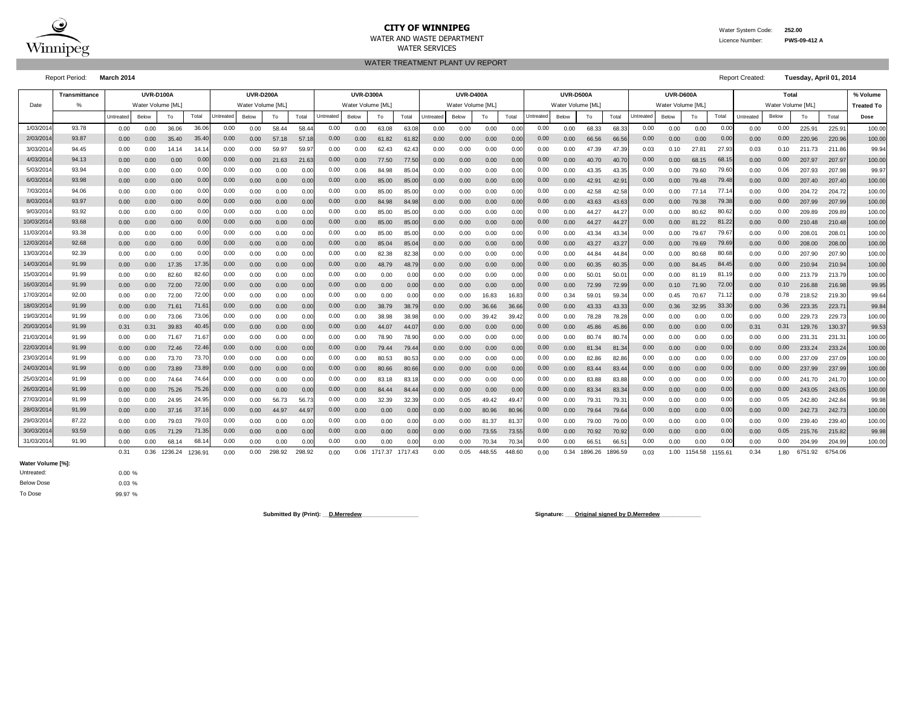

### **CITY OF WINNIPEG** WATER System Code: 252.00 WATER AND WASTE DEPARTMENT Licence Number: **PWS-09-412 A** WATER SERVICES

**% Volume Treated To**

WATER TREATMENT PLANT UV REPORT

0.00 0.00 73.70 73.70| 0.00 0.00 0.00 0.00| 0.00 0.00 80.53 80.53| 0.00 0.00 0.00 0.00 0.00 82.86 82.86| 0.00 0.00 0.00 0.00 0.00 0.00 237.09 237.09| 100.00 0.00 0.00 73.89 73.89| 0.00 0.00 0.00| 0.00 0.00 80.66 80.66| 0.00 0.00 0.00 0.00| 0.00 0.00 83.44 83.44| 0.00 0.00 0.00 0.00 0.00 0.00 237.99| 100.00 1000| 0.00 0.00| 0.00 0.00| 0.00| 0.00| 0.00| 0.00| 0.00| 0.00| 0.00| 0. 0.00 0.00 74.64 0.00 0.00 0.00 0.00 83.18 83.18 0.00 0.00 0.00 0.00 0.00 83.88 83.88 0.00 0.00 0.00 241.70 241.70 100.00 0.00 0.00 75.26 75.26| 0.00 0.00 0.00 0.00| 0.00 0.00 84.44 84.44| 0.00 0.00 0.00 0.00 0.00 83.34 0.00 0.00 0.00 0.00 0.00 0.00 243.05 243.05| 100.00 0.00 0.00 24.95 0.00 56.73 56.73 0.00 32.39 32.39 0.00 0.05 49.42 49.47 0.00 79.31 79.31 0.00 0.00 0.00 242.80 242.84 99.98 0.00 0.00 37.16 37.16| 0.00 0.00 44.97 44.97| 0.00 0.00 0.00 0.00 0.00 0.00 80.96 0.00 0.00 79.64 79.64| 0.00 0.00 0.00 0.00 0.00 0.00 242.73 242.73| 100.00 0.00 0.00 79.03 0.00 0.00 0.00 0.00 0.00 0.00 0.00 0.00 81.37 81.37 0.00 79.00 79.00 0.00 0.00 0.00 239.40 239.40 100.00 0.00 0.05 71.29 0.00 0.00 0.00 0.00 0.00 0.00 0.00 0.00 73.55 73.55 0.00 70.92 70.92 0.00 0.00 0.00 215.76 215.82 99.98 0.00 0.00 68.14 0.00 0.00 0.00 0.00 0.00 0.00 0.00 0.00 70.34 70.34 0.00 66.51 66.51 0.00 0.00 0.00 204.99 204.99 100.00 0.31 0.36 1236.24 1236.91 0.00 0.00 298.92 298.92 0.00 0.06 1717.37 1717.43 0.00 0.05 448.55 448.60 0.00 0.34 1896.59 0.03 1.00 1154.58 1155.61 0.34 1.80 6751.92 6754.06

Untreated Below To Postal Untreated Below To Total Untreated Below To Total Untreated Below To Total Ontreated Below To Total Intreated Below To Total Do**se** 0.00 0.00 36.06 0.00 58.44 58.44 0.00 63.08 63.08 0.00 0.00 0.00 0.00 0.00 68.33 68.33 0.00 0.00 0.00 225.91 225.91 100.00 0.00 0.00 35.40 0.00 57.18 57.18 0.00 61.82 61.82 0.00 0.00 0.00 0.00 0.00 66.56 66.56 0.00 0.00 0.00 220.96 220.96 100.00 0.00 0.00 14.14 0.00 59.97 59.97 0.00 62.43 62.43 0.00 0.00 0.00 0.00 0.00 47.39 47.39 0.10 27.81 0.03 211.73 211.86 99.94 0.00 0.00 0.00 0.00 21.63 21.63 0.00 77.50 77.50 0.00 0.00 0.00 0.00 0.00 40.70 40.70 0.00 68.15 0.00 207.97 207.97 100.00 0.00 0.00 0.00 0.00 0.00 0.00 0.06 84.98 85.04 0.00 0.00 0.00 0.00 0.00 43.35 43.35 0.00 79.60 0.00 207.93 207.98 99.97 0.00 0.00 0.00 0.00 0.00 0.00 0.00 85.00 85.00 0.00 0.00 0.00 0.00 0.00 42.91 42.91 0.00 79.48 0.00 207.40 207.40 100.00 0.00 0.00 0.00 0.00 0.00 0.00 0.00 85.00 85.00 0.00 0.00 0.00 0.00 0.00 42.58 42.58 0.00 77.14 0.00 204.72 204.72 100.00 0.00 0.00 0.00 0.00 0.00 0.00 0.00 84.98 84.98 0.00 0.00 0.00 0.00 0.00 43.63 43.63 0.00 79.38 0.00 207.99 207.99 100.00 0.00 0.00 0.00 0.00 0.00 0.00 0.00 85.00 85.00 0.00 0.00 0.00 0.00 0.00 44.27 44.27 0.00 80.62 0.00 209.89 209.89 100.00 0.00 0.00 0.00 0.00 0.00 0.00 0.00 85.00 85.00 0.00 0.00 0.00 0.00 0.00 44.27 44.27 0.00 81.22 0.00 210.48 210.48 100.00 0.00 0.00 0.00 0.00 0.00 0.00 0.00 85.00 85.00 0.00 0.00 0.00 0.00 0.00 43.34 43.34 0.00 79.67 0.00 208.01 208.01 100.00 0.00 0.00 0.00 0.00 0.00 0.00 0.00 85.04 85.04 0.00 0.00 0.00 0.00 0.00 43.27 43.27 0.00 79.69 0.00 208.00 208.00 100.00 0.00 0.00 0.00 0.00 0.00 0.00 0.00 82.38 82.38 0.00 0.00 0.00 0.00 0.00 44.84 44.84 0.00 80.68 0.00 207.90 207.90 100.00 0.00 0.00 17.35 0.00 0.00 0.00 0.00 48.79 48.79 0.00 0.00 0.00 0.00 0.00 60.35 60.35 0.00 84.45 0.00 210.94 210.94 100.00 0.00 0.00 82.60 0.00 0.00 0.00 0.00 0.00 0.00 0.00 0.00 0.00 0.00 0.00 50.01 50.01 0.00 81.19 0.00 213.79 213.79 100.00 0.00 0.00 72.00 0.00 0.00 0.00 0.00 0.00 0.00 0.00 0.00 0.00 0.00 0.00 72.99 72.99 0.10 71.90 0.00 216.88 216.98 99.95 0.00 0.00 72.00 0.00 0.00 0.00 0.00 0.00 0.00 0.00 0.00 16.83 16.83 0.34 59.01 59.34 0.45 70.67 0.00 218.52 219.30 99.64 0.00 0.00 71.61 0.00 0.00 0.00 0.00 38.79 38.79 0.00 0.00 36.66 36.66 0.00 43.33 43.33 0.36 32.95 0.00 223.35 223.71 99.84 0.00 0.00 73.06 73.06| 0.00 0.00 0.00| 0.00 0.00 38.98 38.98| 0.00 0.00 39.42 39.42| 0.00 0.00 78.28 78.28| 0.00 0.00 0.00 0.00 0.00 0.00 229.73 229.73| 100.00 0.31 0.31 39.83 0.00 0.00 0.00 0.00 44.07 44.07 0.00 0.00 0.00 0.00 0.00 45.86 45.86 0.00 0.00 0.31 129.76 130.37 99.53 0.00 0.00 71.67 71.67| 0.00 0.00 0.00| 0.00 0.00 78.90| 0.00 0.00 0.00 0.00| 0.00 0.00 80.74 80.74| 0.00 0.00 0.00 0.00 0.00 0.00 231.31 231.31| 100.00 0.00 0.00 72.46 0.00 0.00 0.00 0.00 79.44 79.44 0.00 0.00 0.00 0.00 0.00 81.34 81.34 0.00 0.00 0.00 233.24 233.24 100.00 0.00 0.00 81.34 81.34 0.00 0.00 0.00 0.00 0.00 0.00 23/03/2014 91.99 73.70 0.00 0.00 0.00 0.00 0.00 0.00 22/03/2014 91.99 | 0.00 0.00 72.46 72.46 0.00 0.00 0.00 0.00 0.00 0.00 0.00 45.86 45.86 0.00 0.00 0.00 0.00 0.31 0.31 21/03/2014 91.99 71.67 0.00 0.00 0.00 0.00 0.00 0.00 20/03/2014 91.99 40.45 0.00 0.00 0.00 0.00 43.33 43.33 0.00 0.36 32.95 33.30 0.00 0.36 19/03/2014 91.99 73.06 0.00 0.00 0.00 0.00 0.00 0.00 18/03/2014 91.99 | 0.00 0.00 71.61 71.61 0.00 0.00 0.00 0.00 0.00 0.00 0.00 72.00 0.10 17/03/2014 92.00 72.00 0.00 0.00 0.00 0.00 71.12 0.78 16/03/2014 91.99 72.00 0.00 0.00 0.00 0.00 84.45 0.00 15/03/2014 91.99 82.60 0.00 0.00 0.00 0.00 81.19 0.00 14/03/2014 91.99 17.35 0.00 0.00 0.00 0.00 43.27 43.27 0.00 0.00 79.69 79.69 0.00 0.00 13/03/2014 92.39 0.00 0.00 0.00 0.00 0.00 80.68 0.00 12/03/2014 92.68 0.00 0.00 0.00 0.00 0.00 44.27 44.27 0.00 0.00 81.22 81.22 0.00 0.00 11/03/2014 93.38 0.00 0.00 0.00 0.00 0.00 79.67 0.00 10/03/2014 93.68 0.00 0.00 0.00 0.00 0.00 43.63 43.63 0.00 0.00 79.38 79.38 0.00 0.00 9/03/2014 93.92 0.00 0.00 0.00 0.00 0.00 80.62 0.00 8/03/2014 93.97 0.00 0.00 0.00 0.00 0.00 42.91 42.91 0.00 0.00 79.48 79.48 0.00 0.00 7/03/2014 94.06 0.00 0.00 0.00 0.00 0.00 77.14 0.00 6/03/2014 93.98 0.00 0.00 0.00 0.00 0.00 40.70 40.70 0.00 0.00 68.15 68.15 0.00 0.00 5/03/2014 93.94 0.00 0.00 0.00 0.00 0.00 79.60 0.06 4/03/2014 94.13 0.00 0.00 0.00 0.00 0.00 0.00 0.00 3/03/2014 94.45 | 0.00 0.00 14.14 14.14 0.00 0.00 59.97 59.97| 0.00 0.00 62.43 62.43| 0.00 0.00 0.00 0.00 0.00 0.00 47.39 47.39| 0.03 0.10 27.81 27.93| 0.03 0.10 2/03/2014 93.87 35.40 0.00 0.00 Untreated Below | To | Total Untreated Below | To | Total Untreated Below 1/03/2014 93.78 36.06 0.00 0.00 0.00 0.00 0.00 0.00 Total Untreated Below To Total Untreated **UVR-D400A UVR-D500A UVR-D600A Total** Date | % | Water Volume [ML] | Water Volume [ML] | Water Volume [ML] | Water Volume [ML] | Water Volume [ML] | Water Volume [ML] | Water Volume [ML] | Water Volume [ML] **Transmittance UVR-D100A UVR-D200A UVR-D300A** Report Period: **March 2014** Report Created: **Tuesday, April 01, 2014**

31/03/2014 91.90 68.14 0.00 0.00 0.00 0.00 0.00 0.00

29/03/2014 87.22 79.03 0.00 0.00 0.00 0.00 0.00 0.00

27/03/2014 91.99 | 0.00 0.00 24.95 24.95 0.00 0.00 56.73 56.73 0.00 0.00 32.39 0.00 0.05 49.42 49.47 0.00 0.00 79.31 79.31 0.00 0.00 0.00 0.00 0.00 0.00 0.00

25/03/2014 91.99 74.64 0.00 0.00 0.00 0.00 0.00 0.00

**Water Volume [%]:**

To Dose Below Dose Untreated:

0.00 % 0.03 % 99.97 %

30/03/2014 93.59 71.35 0.00 0.00

28/03/2014 91.99 | 0.00 0.00 37.16 37.16 0.00 0.00 44.97 44.97 0.00

26/03/2014 91.99 75.26 0.00 0.00

24/03/2014 91.99 | 0.00 0.00 73.89 73.89 0.00 0.00 0.00 0.00 0.00

Submitted By (Print): D.Merredew **D.Merredew Signature: Criginal signed by D.Merredew** 

1236.91 0.00 0.00 298.92 298.92 0.00

0.00 0.34 1896.26 1896.59 0.03 1.00 1154.58 1155.61 0.34 1.80

 $0.00$   $0.00$   $70.92$   $70.92$   $0.00$   $0.00$   $0.00$   $0.00$   $0.00$   $0.05$ 

0.00 0.00 79.64 79.64 0.00 0.00 0.00 0.00 0.00 0.00

0.00 0.00 83.34 83.34 0.00 0.00 0.00 0.00 0.00 0.00

0.00 0.00 0.00 0.00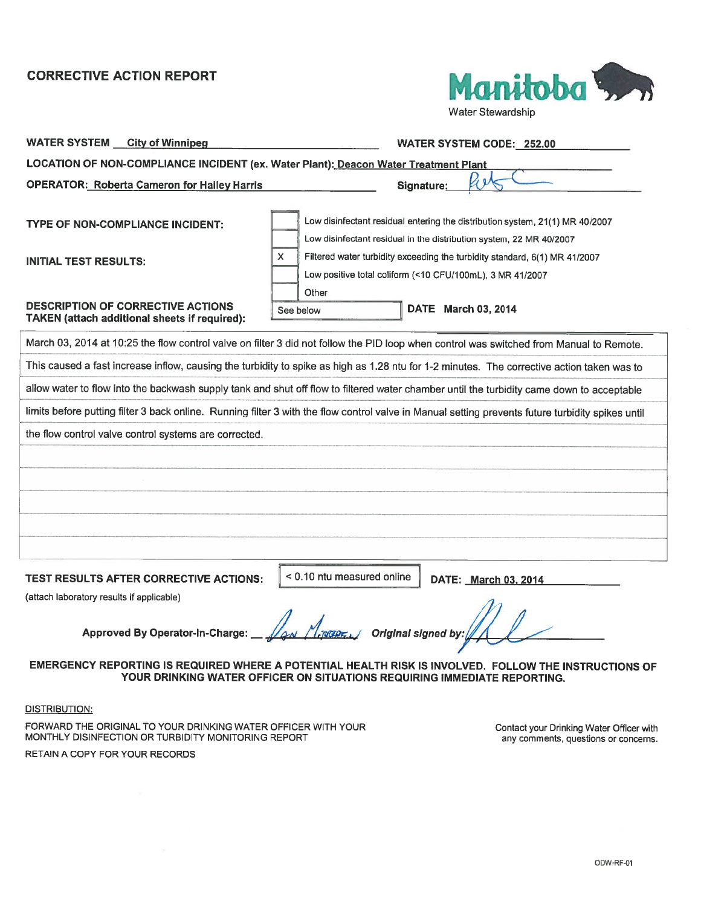

WATER SYSTEM City of Winnipeg Contact Contact Contact Contact Contact Contact Contact Contact Contact Contact Contact Contact Contact Contact Contact Contact Contact Contact Contact Contact Contact Contact Contact Contact LOCATION OF NON-COMPLIANCE INCIDENT (ex. Water Plant): Deacon Water Treatment Plant OPERATOR: Roberta Cameron for Hailey Harris Signature: TYPE OF NON-COMPLIANCE INCIDENT: INITIAL TEST RESULTS: Low disinfectant residual entering the distribution system, 21(1) MR 40/2007 Low disinfectant residual in the distribution system, 22 MR 40/2007 Filtered water turbidity exceeding the turbidity standard, 6(1) MR 41/2007 Low positive total coliform (<10 CFU/100mL), 3 MR 41/2007 **Other** DESCRIPTION OF CORRECTIVE ACTIONS TAKEN (attach additional sheets if required): TIVE ACTION REPORT<br>
Water Stewartship<br>
Water Stewartship<br>
CF NON-COMPLIANCE INCIDENT (ex. Water Plant): <u>Deacon Water Treatment Plant</u><br>
1: Roberta Cameron for Halley Harris<br>
1: Roberta Cameron for Halley Harris<br>
1: Robert See below **DATE** March 03, 2014 March 03, <sup>2014</sup> at 10:25 the flow control valve on filter <sup>3</sup> did not follow the PID loop when control was switched from Manual to Remote. This caused <sup>a</sup> fast increase inflow, causing the turbidity to spike as high as 1.28 ntu for 1-2 minutes. The corrective action taken was to allow water to flow into the backwash supply tank and shut off flow to filtered water chamber until the turbidity came down to acceptable limits before putting filter <sup>3</sup> back online. Running filter <sup>3</sup> with the flow control valve in Manual setting prevents future turbidity spikes until the flow control valve control systems are corrected.

TEST RESULTS AFTER CORRECTIVE ACTIONS:

 $<$  0.10 ntu measured online  $\parallel$  DATE: March 03, 2014

(attach laboratory results if applicable)

EMERGENCY REPORTING IS REQUIRED WHERE A POTENTIAL HEALTH RISK IS INVOLVED. FOLLOW THE INSTRUCTIONS OF YOUR DRINKING WATER OFFICER ON SITUATIONS REQUIRING IMMEDIATE REPORTING.

DISTRIBUTION:

FORWARD THE ORIGINAL TO YOUR DRINKING WATER OFFICER WITH YOUR MONTHLY DISINFECTION OR TURBIDITY MONITORING REPORT

RETAIN A COPY FOR YOUR RECORDS

Contact your Drinking Water Officer with any comments. questions or concerns.